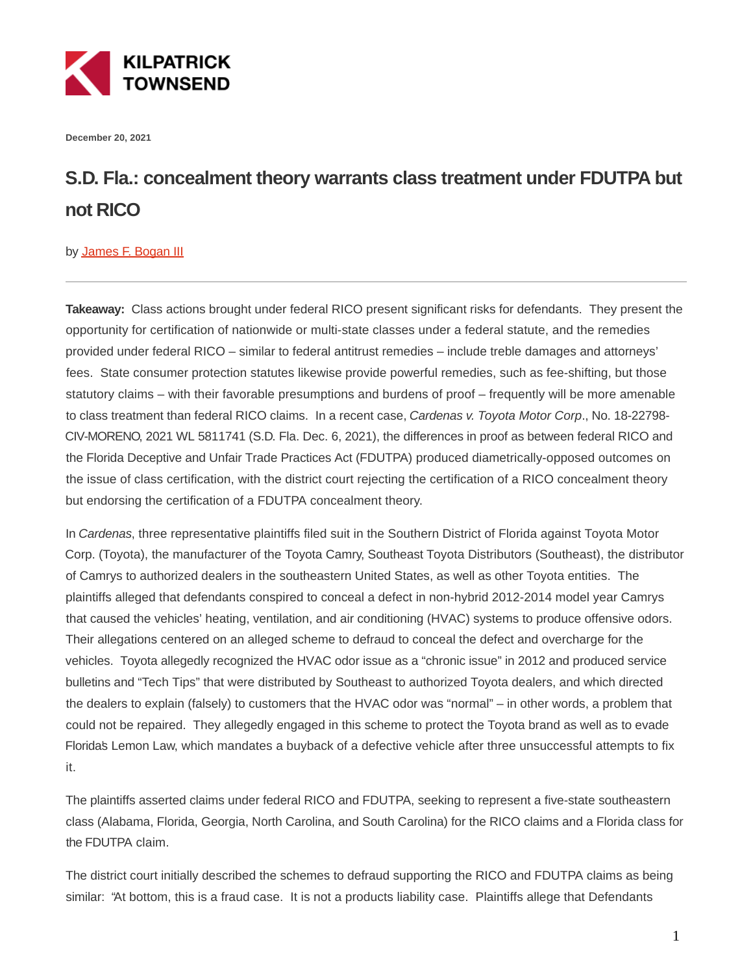

**December 20, 2021**

## **S.D. Fla.: concealment theory warrants class treatment under FDUTPA but not RICO**

## by [James F. Bogan III](https://kilpatricktownsend.com/People/B/BoganJamesF)

**Takeaway:** Class actions brought under federal RICO present significant risks for defendants. They present the opportunity for certification of nationwide or multi-state classes under a federal statute, and the remedies provided under federal RICO – similar to federal antitrust remedies – include treble damages and attorneys' fees. State consumer protection statutes likewise provide powerful remedies, such as fee-shifting, but those statutory claims – with their favorable presumptions and burdens of proof – frequently will be more amenable to class treatment than federal RICO claims. In a recent case, Cardenas v. Toyota Motor Corp., No. 18-22798-CIV-MORENO, 2021 WL 5811741 (S.D. Fla. Dec. 6, 2021), the differences in proof as between federal RICO and the Florida Deceptive and Unfair Trade Practices Act (FDUTPA) produced diametrically-opposed outcomes on the issue of class certification, with the district court rejecting the certification of a RICO concealment theory but endorsing the certification of a FDUTPA concealment theory.

In Cardenas, three representative plaintiffs filed suit in the Southern District of Florida against Toyota Motor Corp. (Toyota), the manufacturer of the Toyota Camry, Southeast Toyota Distributors (Southeast), the distributor of Camrys to authorized dealers in the southeastern United States, as well as other Toyota entities. The plaintiffs alleged that defendants conspired to conceal a defect in non-hybrid 2012-2014 model year Camrys that caused the vehicles' heating, ventilation, and air conditioning (HVAC) systems to produce offensive odors. Their allegations centered on an alleged scheme to defraud to conceal the defect and overcharge for the vehicles. Toyota allegedly recognized the HVAC odor issue as a "chronic issue" in 2012 and produced service bulletins and "Tech Tips" that were distributed by Southeast to authorized Toyota dealers, and which directed the dealers to explain (falsely) to customers that the HVAC odor was "normal" – in other words, a problem that could not be repaired. They allegedly engaged in this scheme to protect the Toyota brand as well as to evade Florida's Lemon Law, which mandates a buyback of a defective vehicle after three unsuccessful attempts to fix it.

The plaintiffs asserted claims under federal RICO and FDUTPA, seeking to represent a five-state southeastern class (Alabama, Florida, Georgia, North Carolina, and South Carolina) for the RICO claims and a Florida class for the FDUTPA claim.

The district court initially described the schemes to defraud supporting the RICO and FDUTPA claims as being similar: "At bottom, this is a fraud case. It is not a products liability case. Plaintiffs allege that Defendants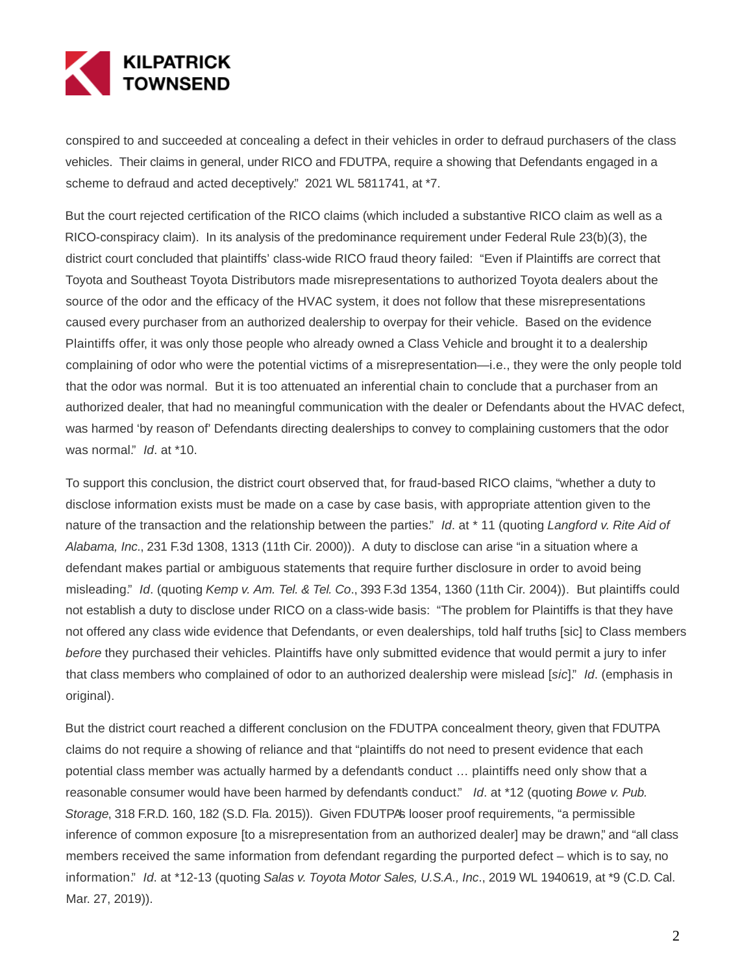

conspired to and succeeded at concealing a defect in their vehicles in order to defraud purchasers of the class vehicles. Their claims in general, under RICO and FDUTPA, require a showing that Defendants engaged in a scheme to defraud and acted deceptively." 2021 WL 5811741, at \*7.

But the court rejected certification of the RICO claims (which included a substantive RICO claim as well as a RICO-conspiracy claim). In its analysis of the predominance requirement under Federal Rule 23(b)(3), the district court concluded that plaintiffs' class-wide RICO fraud theory failed: "Even if Plaintiffs are correct that Toyota and Southeast Toyota Distributors made misrepresentations to authorized Toyota dealers about the source of the odor and the efficacy of the HVAC system, it does not follow that these misrepresentations caused every purchaser from an authorized dealership to overpay for their vehicle. Based on the evidence Plaintiffs offer, it was only those people who already owned a Class Vehicle and brought it to a dealership complaining of odor who were the potential victims of a misrepresentation—i.e., they were the only people told that the odor was normal. But it is too attenuated an inferential chain to conclude that a purchaser from an authorized dealer, that had no meaningful communication with the dealer or Defendants about the HVAC defect, was harmed 'by reason of' Defendants directing dealerships to convey to complaining customers that the odor was normal." Id. at \*10.

To support this conclusion, the district court observed that, for fraud-based RICO claims, "whether a duty to disclose information exists must be made on a case by case basis, with appropriate attention given to the nature of the transaction and the relationship between the parties." Id. at \* 11 (quoting Langford v. Rite Aid of Alabama, Inc., 231 F.3d 1308, 1313 (11th Cir. 2000)). A duty to disclose can arise "in a situation where a defendant makes partial or ambiguous statements that require further disclosure in order to avoid being misleading." Id. (quoting Kemp v. Am. Tel. & Tel. Co., 393 F.3d 1354, 1360 (11th Cir. 2004)). But plaintiffs could not establish a duty to disclose under RICO on a class-wide basis: "The problem for Plaintiffs is that they have not offered any class wide evidence that Defendants, or even dealerships, told half truths [sic] to Class members before they purchased their vehicles. Plaintiffs have only submitted evidence that would permit a jury to infer that class members who complained of odor to an authorized dealership were mislead [sic]." Id. (emphasis in original).

But the district court reached a different conclusion on the FDUTPA concealment theory, given that FDUTPA claims do not require a showing of reliance and that "plaintiffs do not need to present evidence that each potential class member was actually harmed by a defendants conduct ... plaintiffs need only show that a reasonable consumer would have been harmed by defendants conduct." Id. at \*12 (quoting Bowe v. Pub. Storage, 318 F.R.D. 160, 182 (S.D. Fla. 2015)). Given FDUTPA's looser proof requirements, "a permissible inference of common exposure [to a misrepresentation from an authorized dealer] may be drawn," and "all class members received the same information from defendant regarding the purported defect – which is to say, no information." Id. at \*12-13 (quoting Salas v. Toyota Motor Sales, U.S.A., Inc., 2019 WL 1940619, at \*9 (C.D. Cal. Mar. 27, 2019)).